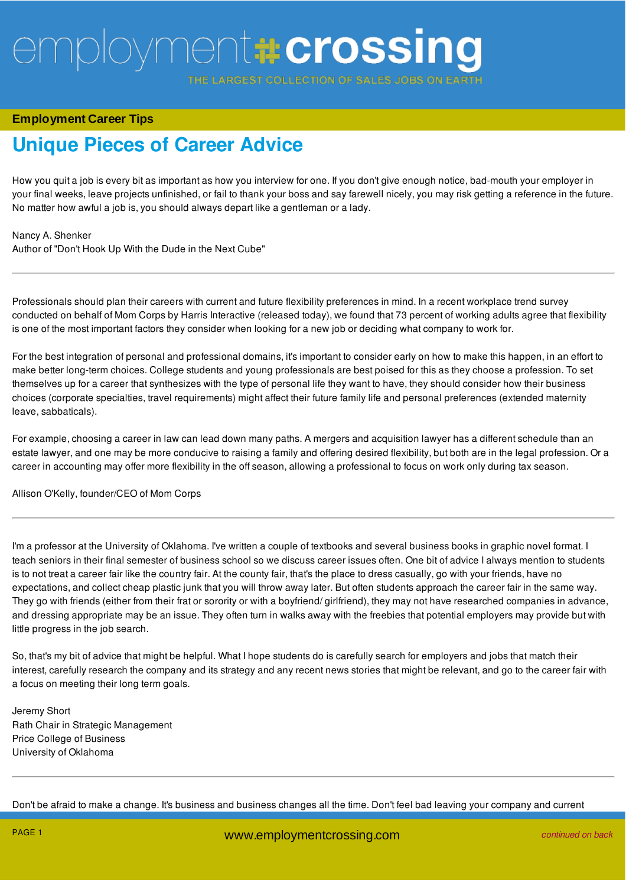**ARGEST COLLECTION OF SALES JOBS** 

### **Employment Career Tips**

## **Unique Pieces of Career Advice**

How you quit a job is every bit as important as how you interview for one. If you don't give enough notice, bad-mouth your employer in your final weeks, leave projects unfinished, or fail to thank your boss and say farewell nicely, you may risk getting a reference in the future. No matter how awful a job is, you should always depart like a gentleman or a lady.

#### Nancy A. Shenker

Author of "Don't Hook Up With the Dude in the Next Cube"

Professionals should plan their careers with current and future flexibility preferences in mind. In a recent workplace trend survey conducted on behalf of Mom Corps by Harris Interactive (released today), we found that 73 percent of working adults agree that flexibility is one of the most important factors they consider when looking for a new job or deciding what company to work for.

For the best integration of personal and professional domains, it's important to consider early on how to make this happen, in an effort to make better long-term choices. College students and young professionals are best poised for this as they choose a profession. To set themselves up for a career that synthesizes with the type of personal life they want to have, they should consider how their business choices (corporate specialties, travel requirements) might affect their future family life and personal preferences (extended maternity leave, sabbaticals).

For example, choosing a career in law can lead down many paths. A mergers and acquisition lawyer has a different schedule than an estate lawyer, and one may be more conducive to raising a family and offering desired flexibility, but both are in the legal profession. Or a career in accounting may offer more flexibility in the off season, allowing a professional to focus on work only during tax season.

Allison O'Kelly, founder/CEO of Mom Corps

I'm a professor at the University of Oklahoma. I've written a couple of textbooks and several business books in graphic novel format. I teach seniors in their final semester of business school so we discuss career issues often. One bit of advice I always mention to students is to not treat a career fair like the country fair. At the county fair, that's the place to dress casually, go with your friends, have no expectations, and collect cheap plastic junk that you will throw away later. But often students approach the career fair in the same way. They go with friends (either from their frat or sorority or with a boyfriend/ girlfriend), they may not have researched companies in advance, and dressing appropriate may be an issue. They often turn in walks away with the freebies that potential employers may provide but with little progress in the job search.

So, that's my bit of advice that might be helpful. What I hope students do is carefully search for employers and jobs that match their interest, carefully research the company and its strategy and any recent news stories that might be relevant, and go to the career fair with a focus on meeting their long term goals.

Jeremy Short Rath Chair in Strategic Management Price College of Business University of Oklahoma

Don't be afraid to make a change. It's business and business changes all the time. Don't feel bad leaving your company and current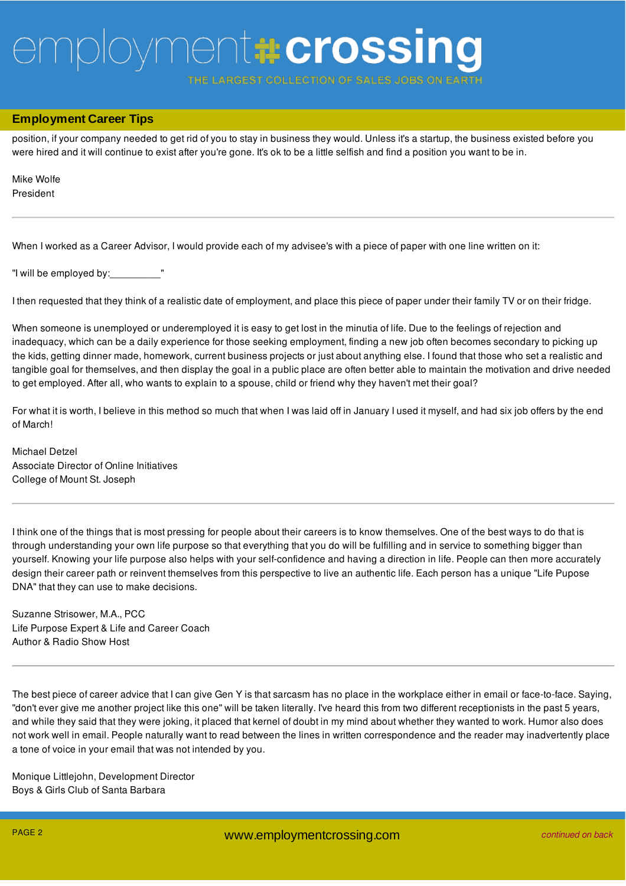**ARGEST COLLECTION OF SALES JOBS** 

## Don't be afraid to make a change. It's business and business changes all the time. Don't feel bad leaving your company and current **Employment Career Tips**

position, if your company needed to get rid of you to stay in business they would. Unless it's a startup, the business existed before you were hired and it will continue to exist after you're gone. It's ok to be a little selfish and find a position you want to be in.

Mike Wolfe President

When I worked as a Career Advisor, I would provide each of my advisee's with a piece of paper with one line written on it:

"I will be employed by:\_\_\_\_\_\_\_\_\_"

I then requested that they think of a realistic date of employment, and place this piece of paper under their family TV or on their fridge.

When someone is unemployed or underemployed it is easy to get lost in the minutia of life. Due to the feelings of rejection and inadequacy, which can be a daily experience for those seeking employment, finding a new job often becomes secondary to picking up the kids, getting dinner made, homework, current business projects or just about anything else. I found that those who set a realistic and tangible goal for themselves, and then display the goal in a public place are often better able to maintain the motivation and drive needed to get employed. After all, who wants to explain to a spouse, child or friend why they haven't met their goal?

For what it is worth, I believe in this method so much that when I was laid off in January I used it myself, and had six job offers by the end of March!

Michael Detzel Associate Director of Online Initiatives College of Mount St. Joseph

I think one of the things that is most pressing for people about their careers is to know themselves. One of the best ways to do that is through understanding your own life purpose so that everything that you do will be fulfilling and in service to something bigger than yourself. Knowing your life purpose also helps with your self-confidence and having a direction in life. People can then more accurately design their career path or reinvent themselves from this perspective to live an authentic life. Each person has a unique "Life Pupose DNA" that they can use to make decisions.

Suzanne Strisower, M.A., PCC Life Purpose Expert & Life and Career Coach Author & Radio Show Host

The best piece of career advice that I can give Gen Y is that sarcasm has no place in the workplace either in email or face-to-face. Saying, "don't ever give me another project like this one" will be taken literally. I've heard this from two different receptionists in the past 5 years, and while they said that they were joking, it placed that kernel of doubt in my mind about whether they wanted to work. Humor also does not work well in email. People naturally want to read between the lines in written correspondence and the reader may inadvertently place a tone of voice in your email that was not intended by you.

Monique Littlejohn, Development Director Boys & Girls Club of Santa Barbara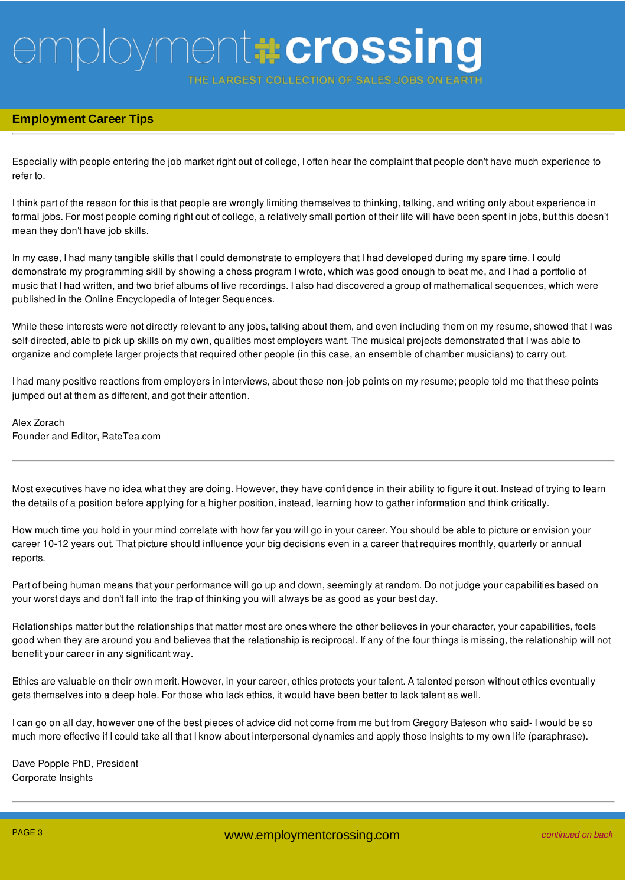THE LARGEST COLLECTION OF SALES JOBS

### **Employment Career Tips**

Especially with people entering the job market right out of college, I often hear the complaint that people don't have much experience to refer to.

I think part of the reason for this is that people are wrongly limiting themselves to thinking, talking, and writing only about experience in formal jobs. For most people coming right out of college, a relatively small portion of their life will have been spent in jobs, but this doesn't mean they don't have job skills.

In my case, I had many tangible skills that I could demonstrate to employers that I had developed during my spare time. I could demonstrate my programming skill by showing a chess program I wrote, which was good enough to beat me, and I had a portfolio of music that I had written, and two brief albums of live recordings. I also had discovered a group of mathematical sequences, which were published in the Online Encyclopedia of Integer Sequences.

While these interests were not directly relevant to any jobs, talking about them, and even including them on my resume, showed that I was self-directed, able to pick up skills on my own, qualities most employers want. The musical projects demonstrated that I was able to organize and complete larger projects that required other people (in this case, an ensemble of chamber musicians) to carry out.

I had many positive reactions from employers in interviews, about these non-job points on my resume; people told me that these points jumped out at them as different, and got their attention.

Alex Zorach Founder and Editor, RateTea.com

Most executives have no idea what they are doing. However, they have confidence in their ability to figure it out. Instead of trying to learn the details of a position before applying for a higher position, instead, learning how to gather information and think critically.

How much time you hold in your mind correlate with how far you will go in your career. You should be able to picture or envision your career 10-12 years out. That picture should influence your big decisions even in a career that requires monthly, quarterly or annual reports.

Part of being human means that your performance will go up and down, seemingly at random. Do not judge your capabilities based on your worst days and don't fall into the trap of thinking you will always be as good as your best day.

Relationships matter but the relationships that matter most are ones where the other believes in your character, your capabilities, feels good when they are around you and believes that the relationship is reciprocal. If any of the four things is missing, the relationship will not benefit your career in any significant way.

Ethics are valuable on their own merit. However, in your career, ethics protects your talent. A talented person without ethics eventually gets themselves into a deep hole. For those who lack ethics, it would have been better to lack talent as well.

I can go on all day, however one of the best pieces of advice did not come from me but from Gregory Bateson who said- I would be so much more effective if I could take all that I know about interpersonal dynamics and apply those insights to my own life (paraphrase).

Dave Popple PhD, President Corporate Insights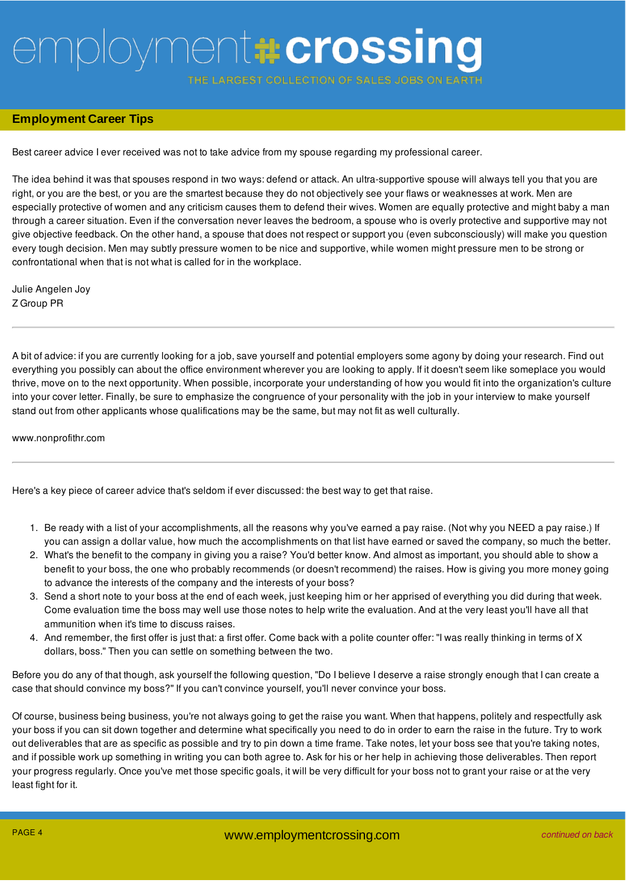THE LARGEST COLLECTION OF SALES JOBS ON E

### **Employment Career Tips**

Best career advice I ever received was not to take advice from my spouse regarding my professional career.

The idea behind it was that spouses respond in two ways: defend or attack. An ultra-supportive spouse will always tell you that you are right, or you are the best, or you are the smartest because they do not objectively see your flaws or weaknesses at work. Men are especially protective of women and any criticism causes them to defend their wives. Women are equally protective and might baby a man through a career situation. Even if the conversation never leaves the bedroom, a spouse who is overly protective and supportive may not give objective feedback. On the other hand, a spouse that does not respect or support you (even subconsciously) will make you question every tough decision. Men may subtly pressure women to be nice and supportive, while women might pressure men to be strong or confrontational when that is not what is called for in the workplace.

Julie Angelen Joy Z Group PR

A bit of advice: if you are currently looking for a job, save yourself and potential employers some agony by doing your research. Find out everything you possibly can about the office environment wherever you are looking to apply. If it doesn't seem like someplace you would thrive, move on to the next opportunity. When possible, incorporate your understanding of how you would fit into the organization's culture into your cover letter. Finally, be sure to emphasize the congruence of your personality with the job in your interview to make yourself stand out from other applicants whose qualifications may be the same, but may not fit as well culturally.

www.nonprofithr.com

Here's a key piece of career advice that's seldom if ever discussed: the best way to get that raise.

- 1. Be ready with a list of your accomplishments, all the reasons why you've earned a pay raise. (Not why you NEED a pay raise.) If you can assign a dollar value, how much the accomplishments on that list have earned or saved the company, so much the better.
- 2. What's the benefit to the company in giving you a raise? You'd better know. And almost as important, you should able to show a benefit to your boss, the one who probably recommends (or doesn't recommend) the raises. How is giving you more money going to advance the interests of the company and the interests of your boss?
- 3. Send a short note to your boss at the end of each week, just keeping him or her apprised of everything you did during that week. Come evaluation time the boss may well use those notes to help write the evaluation. And at the very least you'll have all that ammunition when it's time to discuss raises.
- 4. And remember, the first offer is just that: a first offer. Come back with a polite counter offer: "I was really thinking in terms of X dollars, boss." Then you can settle on something between the two.

Before you do any of that though, ask yourself the following question, "Do I believe I deserve a raise strongly enough that I can create a case that should convince my boss?" If you can't convince yourself, you'll never convince your boss.

Of course, business being business, you're not always going to get the raise you want. When that happens, politely and respectfully ask your boss if you can sit down together and determine what specifically you need to do in order to earn the raise in the future. Try to work out deliverables that are as specific as possible and try to pin down a time frame. Take notes, let your boss see that you're taking notes, and if possible work up something in writing you can both agree to. Ask for his or her help in achieving those deliverables. Then report your progress regularly. Once you've met those specific goals, it will be very difficult for your boss not to grant your raise or at the very least fight for it.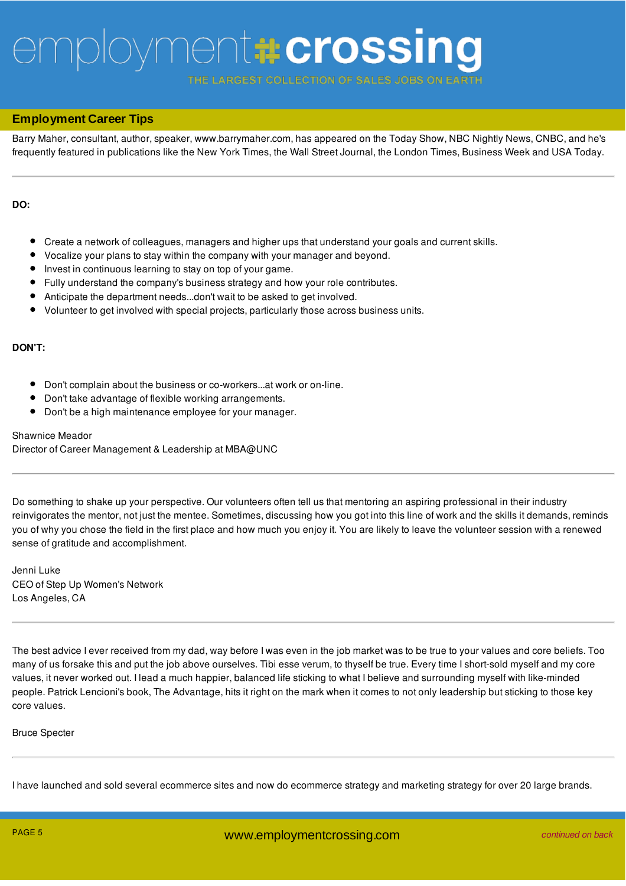**ARGEST COLLECTION OF SALES JOBS** 

### **Employment Career Tips**

Barry Maher, consultant, author, speaker, www.barrymaher.com, has appeared on the Today Show, NBC Nightly News, CNBC, and he's frequently featured in publications like the New York Times, the Wall Street Journal, the London Times, Business Week and USA Today.

### **DO:**

- Create a network of colleagues, managers and higher ups that understand your goals and current skills.
- Vocalize your plans to stay within the company with your manager and beyond.
- $\bullet$ Invest in continuous learning to stay on top of your game.
- $\bullet$ Fully understand the company's business strategy and how your role contributes.
- Anticipate the department needs...don't wait to be asked to get involved.
- Volunteer to get involved with special projects, particularly those across business units.

### **DON'T:**

- Don't complain about the business or co-workers...at work or on-line.
- Don't take advantage of flexible working arrangements.
- Don't be a high maintenance employee for your manager.

### Shawnice Meador

Director of Career Management & Leadership at MBA@UNC

Do something to shake up your perspective. Our volunteers often tell us that mentoring an aspiring professional in their industry reinvigorates the mentor, not just the mentee. Sometimes, discussing how you got into this line of work and the skills it demands, reminds you of why you chose the field in the first place and how much you enjoy it. You are likely to leave the volunteer session with a renewed sense of gratitude and accomplishment.

Jenni Luke CEO of Step Up Women's Network Los Angeles, CA

The best advice I ever received from my dad, way before I was even in the job market was to be true to your values and core beliefs. Too many of us forsake this and put the job above ourselves. Tibi esse verum, to thyself be true. Every time I short-sold myself and my core values, it never worked out. I lead a much happier, balanced life sticking to what I believe and surrounding myself with like-minded people. Patrick Lencioni's book, The Advantage, hits it right on the mark when it comes to not only leadership but sticking to those key core values.

### Bruce Specter

I have launched and sold several ecommerce sites and now do ecommerce strategy and marketing strategy for over 20 large brands.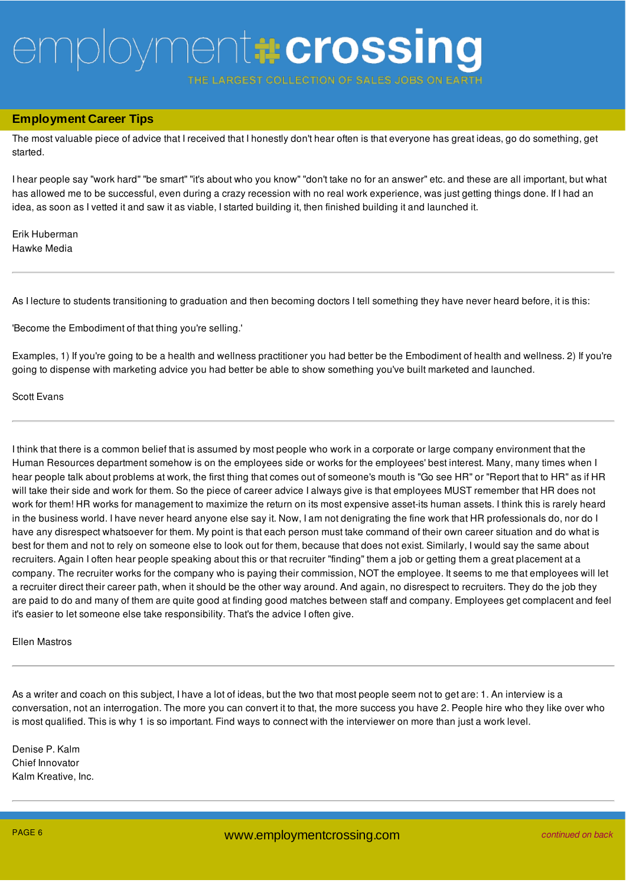ARGEST COLLECTION OF SALES JOBS

### **Employment Career Tips**

The most valuable piece of advice that I received that I honestly don't hear often is that everyone has great ideas, go do something, get started.

I hear people say "work hard" "be smart" "it's about who you know" "don't take no for an answer" etc. and these are all important, but what has allowed me to be successful, even during a crazy recession with no real work experience, was just getting things done. If I had an idea, as soon as I vetted it and saw it as viable, I started building it, then finished building it and launched it.

Erik Huberman Hawke Media

As I lecture to students transitioning to graduation and then becoming doctors I tell something they have never heard before, it is this:

'Become the Embodiment of that thing you're selling.'

Examples, 1) If you're going to be a health and wellness practitioner you had better be the Embodiment of health and wellness. 2) If you're going to dispense with marketing advice you had better be able to show something you've built marketed and launched.

Scott Evans

I think that there is a common belief that is assumed by most people who work in a corporate or large company environment that the Human Resources department somehow is on the employees side or works for the employees' best interest. Many, many times when I hear people talk about problems at work, the first thing that comes out of someone's mouth is "Go see HR" or "Report that to HR" as if HR will take their side and work for them. So the piece of career advice I always give is that employees MUST remember that HR does not work for them! HR works for management to maximize the return on its most expensive asset-its human assets. I think this is rarely heard in the business world. I have never heard anyone else say it. Now, I am not denigrating the fine work that HR professionals do, nor do I have any disrespect whatsoever for them. My point is that each person must take command of their own career situation and do what is best for them and not to rely on someone else to look out for them, because that does not exist. Similarly, I would say the same about recruiters. Again I often hear people speaking about this or that recruiter "finding" them a job or getting them a great placement at a company. The recruiter works for the company who is paying their commission, NOT the employee. It seems to me that employees will let a recruiter direct their career path, when it should be the other way around. And again, no disrespect to recruiters. They do the job they are paid to do and many of them are quite good at finding good matches between staff and company. Employees get complacent and feel it's easier to let someone else take responsibility. That's the advice I often give.

Ellen Mastros

As a writer and coach on this subject, I have a lot of ideas, but the two that most people seem not to get are: 1. An interview is a conversation, not an interrogation. The more you can convert it to that, the more success you have 2. People hire who they like over who is most qualified. This is why 1 is so important. Find ways to connect with the interviewer on more than just a work level.

Denise P. Kalm Chief Innovator Kalm Kreative, Inc.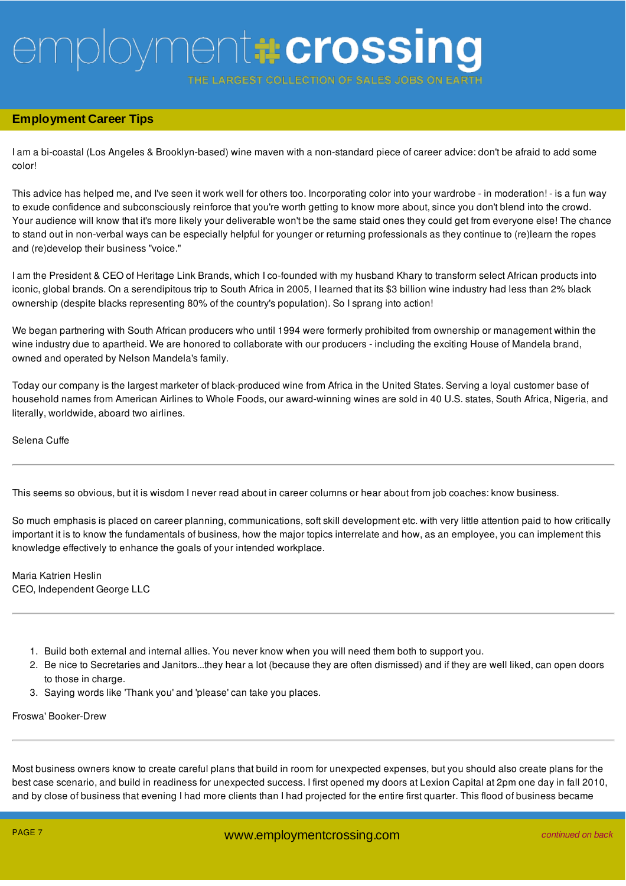THE LARGEST COLLECTION OF SALES JOBS

### **Employment Career Tips**

I am a bi-coastal (Los Angeles & Brooklyn-based) wine maven with a non-standard piece of career advice: don't be afraid to add some color!

This advice has helped me, and I've seen it work well for others too. Incorporating color into your wardrobe - in moderation! - is a fun way to exude confidence and subconsciously reinforce that you're worth getting to know more about, since you don't blend into the crowd. Your audience will know that it's more likely your deliverable won't be the same staid ones they could get from everyone else! The chance to stand out in non-verbal ways can be especially helpful for younger or returning professionals as they continue to (re)learn the ropes and (re)develop their business "voice."

I am the President & CEO of Heritage Link Brands, which I co-founded with my husband Khary to transform select African products into iconic, global brands. On a serendipitous trip to South Africa in 2005, I learned that its \$3 billion wine industry had less than 2% black ownership (despite blacks representing 80% of the country's population). So I sprang into action!

We began partnering with South African producers who until 1994 were formerly prohibited from ownership or management within the wine industry due to apartheid. We are honored to collaborate with our producers - including the exciting House of Mandela brand, owned and operated by Nelson Mandela's family.

Today our company is the largest marketer of black-produced wine from Africa in the United States. Serving a loyal customer base of household names from American Airlines to Whole Foods, our award-winning wines are sold in 40 U.S. states, South Africa, Nigeria, and literally, worldwide, aboard two airlines.

Selena Cuffe

This seems so obvious, but it is wisdom I never read about in career columns or hear about from job coaches: know business.

So much emphasis is placed on career planning, communications, soft skill development etc. with very little attention paid to how critically important it is to know the fundamentals of business, how the major topics interrelate and how, as an employee, you can implement this knowledge effectively to enhance the goals of your intended workplace.

Maria Katrien Heslin CEO, Independent George LLC

- 1. Build both external and internal allies. You never know when you will need them both to support you.
- 2. Be nice to Secretaries and Janitors...they hear a lot (because they are often dismissed) and if they are well liked, can open doors to those in charge.
- 3. Saying words like 'Thank you' and 'please' can take you places.

Froswa' Booker-Drew

Most business owners know to create careful plans that build in room for unexpected expenses, but you should also create plans for the best case scenario, and build in readiness for unexpected success. I first opened my doors at Lexion Capital at 2pm one day in fall 2010, and by close of business that evening I had more clients than I had projected for the entire first quarter. This flood of business became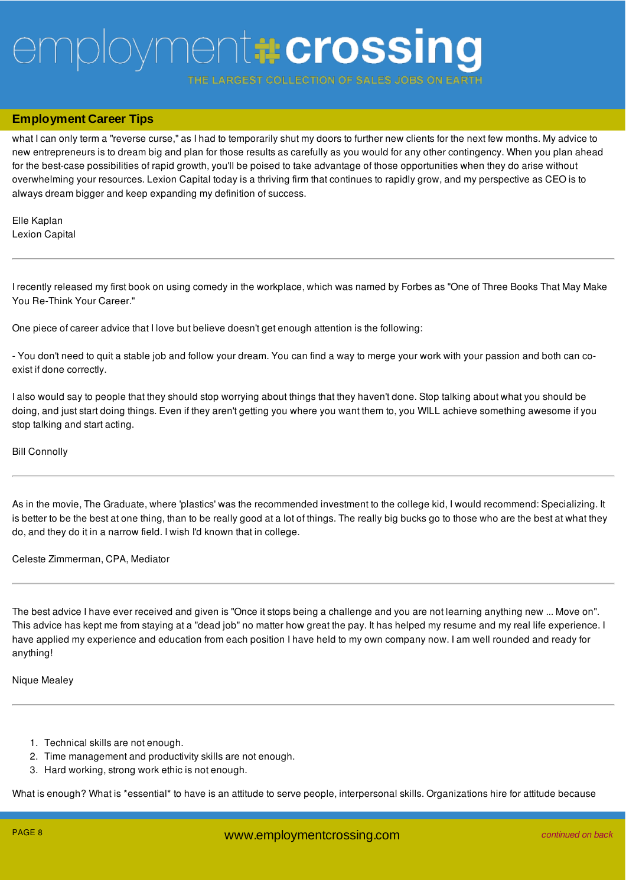ARGEST COLLECTION OF SALES JOBS

## and by close of business that evening I had more clients than I had projected for the entire first quarter. This flood of business became **Employment Career Tips**

what I can only term a "reverse curse," as I had to temporarily shut my doors to further new clients for the next few months. My advice to new entrepreneurs is to dream big and plan for those results as carefully as you would for any other contingency. When you plan ahead for the best-case possibilities of rapid growth, you'll be poised to take advantage of those opportunities when they do arise without overwhelming your resources. Lexion Capital today is a thriving firm that continues to rapidly grow, and my perspective as CEO is to always dream bigger and keep expanding my definition of success.

Elle Kaplan Lexion Capital

I recently released my first book on using comedy in the workplace, which was named by Forbes as "One of Three Books That May Make You Re-Think Your Career."

One piece of career advice that I love but believe doesn't get enough attention is the following:

- You don't need to quit a stable job and follow your dream. You can find a way to merge your work with your passion and both can coexist if done correctly.

I also would say to people that they should stop worrying about things that they haven't done. Stop talking about what you should be doing, and just start doing things. Even if they aren't getting you where you want them to, you WILL achieve something awesome if you stop talking and start acting.

### Bill Connolly

As in the movie, The Graduate, where 'plastics' was the recommended investment to the college kid, I would recommend: Specializing. It is better to be the best at one thing, than to be really good at a lot of things. The really big bucks go to those who are the best at what they do, and they do it in a narrow field. I wish I'd known that in college.

Celeste Zimmerman, CPA, Mediator

The best advice I have ever received and given is "Once it stops being a challenge and you are not learning anything new ... Move on". This advice has kept me from staying at a "dead job" no matter how great the pay. It has helped my resume and my real life experience. I have applied my experience and education from each position I have held to my own company now. I am well rounded and ready for anything!

#### Nique Mealey

- 1. Technical skills are not enough.
- 2. Time management and productivity skills are not enough.
- 3. Hard working, strong work ethic is not enough.

What is enough? What is \*essential\* to have is an attitude to serve people, interpersonal skills. Organizations hire for attitude because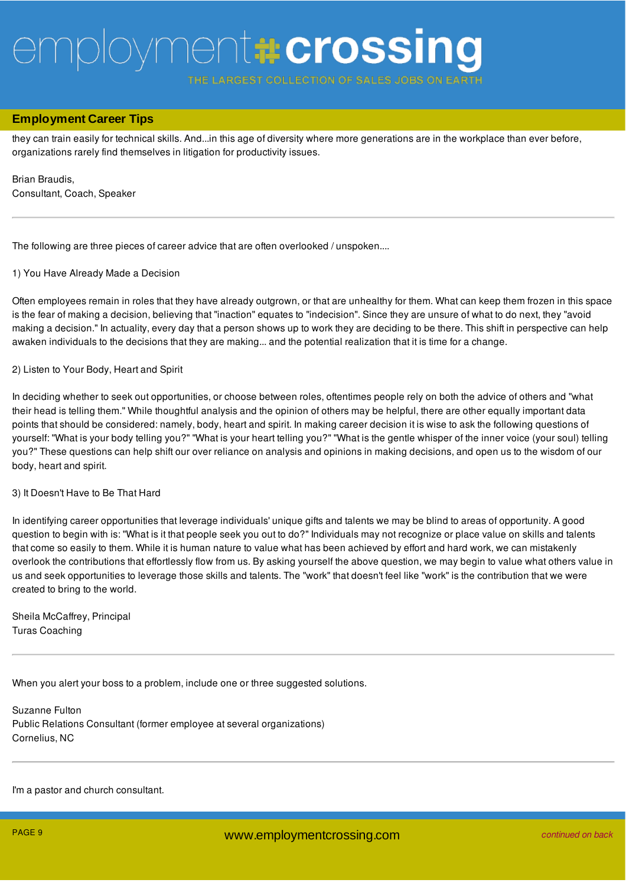THE LARGEST COLLECTION OF SALES JOBS

## What is enough? What is \*essential\* to have is an attitude to serve people, interpersonal skills. Organizations hire for attitude because **Employment Career Tips**

they can train easily for technical skills. And...in this age of diversity where more generations are in the workplace than ever before, organizations rarely find themselves in litigation for productivity issues.

Brian Braudis, Consultant, Coach, Speaker

The following are three pieces of career advice that are often overlooked / unspoken....

#### 1) You Have Already Made a Decision

Often employees remain in roles that they have already outgrown, or that are unhealthy for them. What can keep them frozen in this space is the fear of making a decision, believing that "inaction" equates to "indecision". Since they are unsure of what to do next, they "avoid making a decision." In actuality, every day that a person shows up to work they are deciding to be there. This shift in perspective can help awaken individuals to the decisions that they are making... and the potential realization that it is time for a change.

#### 2) Listen to Your Body, Heart and Spirit

In deciding whether to seek out opportunities, or choose between roles, oftentimes people rely on both the advice of others and "what their head is telling them." While thoughtful analysis and the opinion of others may be helpful, there are other equally important data points that should be considered: namely, body, heart and spirit. In making career decision it is wise to ask the following questions of yourself: "What is your body telling you?" "What is your heart telling you?" "What is the gentle whisper of the inner voice (your soul) telling you?" These questions can help shift our over reliance on analysis and opinions in making decisions, and open us to the wisdom of our body, heart and spirit.

#### 3) It Doesn't Have to Be That Hard

In identifying career opportunities that leverage individuals' unique gifts and talents we may be blind to areas of opportunity. A good question to begin with is: "What is it that people seek you out to do?" Individuals may not recognize or place value on skills and talents that come so easily to them. While it is human nature to value what has been achieved by effort and hard work, we can mistakenly overlook the contributions that effortlessly flow from us. By asking yourself the above question, we may begin to value what others value in us and seek opportunities to leverage those skills and talents. The "work" that doesn't feel like "work" is the contribution that we were created to bring to the world.

Sheila McCaffrey, Principal Turas Coaching

When you alert your boss to a problem, include one or three suggested solutions.

Suzanne Fulton Public Relations Consultant (former employee at several organizations) Cornelius, NC

I'm a pastor and church consultant.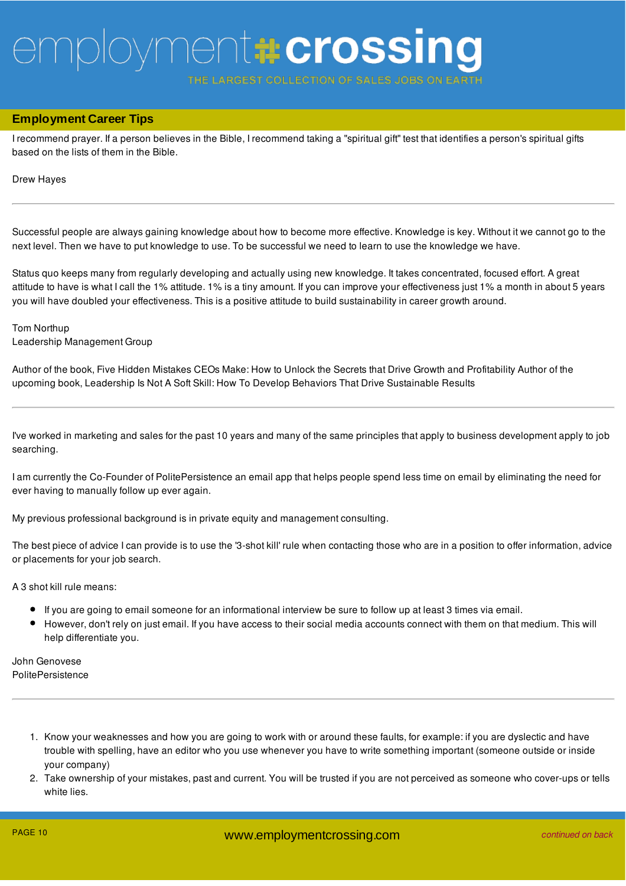**ARGEST COLLECTION OF SALES JOBS** 

### **Employment Career Tips**

I recommend prayer. If a person believes in the Bible, I recommend taking a "spiritual gift" test that identifies a person's spiritual gifts based on the lists of them in the Bible.

#### Drew Hayes

Successful people are always gaining knowledge about how to become more effective. Knowledge is key. Without it we cannot go to the next level. Then we have to put knowledge to use. To be successful we need to learn to use the knowledge we have.

Status quo keeps many from regularly developing and actually using new knowledge. It takes concentrated, focused effort. A great attitude to have is what I call the 1% attitude. 1% is a tiny amount. If you can improve your effectiveness just 1% a month in about 5 years you will have doubled your effectiveness. This is a positive attitude to build sustainability in career growth around.

### Tom Northup Leadership Management Group

Author of the book, Five Hidden Mistakes CEOs Make: How to Unlock the Secrets that Drive Growth and Profitability Author of the upcoming book, Leadership Is Not A Soft Skill: How To Develop Behaviors That Drive Sustainable Results

I've worked in marketing and sales for the past 10 years and many of the same principles that apply to business development apply to job searching.

I am currently the Co-Founder of PolitePersistence an email app that helps people spend less time on email by eliminating the need for ever having to manually follow up ever again.

My previous professional background is in private equity and management consulting.

The best piece of advice I can provide is to use the '3-shot kill' rule when contacting those who are in a position to offer information, advice or placements for your job search.

A 3 shot kill rule means:

- If you are going to email someone for an informational interview be sure to follow up at least 3 times via email.
- However, don't rely on just email. If you have access to their social media accounts connect with them on that medium. This will help differentiate you.

John Genovese **PolitePersistence** 

- 1. Know your weaknesses and how you are going to work with or around these faults, for example: if you are dyslectic and have trouble with spelling, have an editor who you use whenever you have to write something important (someone outside or inside your company)
- 2. Take ownership of your mistakes, past and current. You will be trusted if you are not perceived as someone who cover-ups or tells white lies.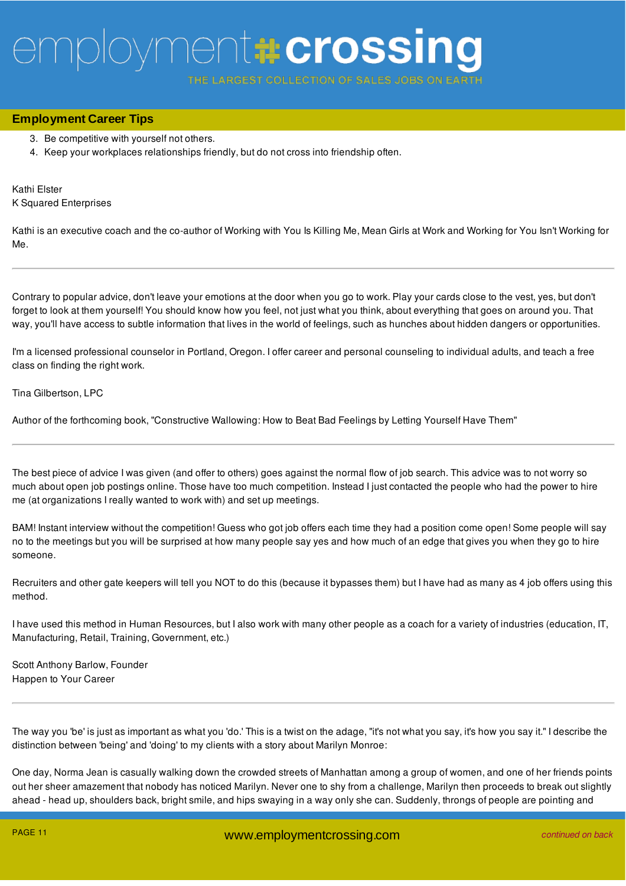**ARGEST COLLECTION OF SALE** 

## **Employment Career Tips**

- 3. Be competitive with yourself not others.
- 4. Keep your workplaces relationships friendly, but do not cross into friendship often.

Kathi Elster K Squared Enterprises

Kathi is an executive coach and the co-author of Working with You Is Killing Me, Mean Girls at Work and Working for You Isn't Working for Me.

Contrary to popular advice, don't leave your emotions at the door when you go to work. Play your cards close to the vest, yes, but don't forget to look at them yourself! You should know how you feel, not just what you think, about everything that goes on around you. That way, you'll have access to subtle information that lives in the world of feelings, such as hunches about hidden dangers or opportunities.

I'm a licensed professional counselor in Portland, Oregon. I offer career and personal counseling to individual adults, and teach a free class on finding the right work.

Tina Gilbertson, LPC

Author of the forthcoming book, "Constructive Wallowing: How to Beat Bad Feelings by Letting Yourself Have Them"

The best piece of advice I was given (and offer to others) goes against the normal flow of job search. This advice was to not worry so much about open job postings online. Those have too much competition. Instead I just contacted the people who had the power to hire me (at organizations I really wanted to work with) and set up meetings.

BAM! Instant interview without the competition! Guess who got job offers each time they had a position come open! Some people will say no to the meetings but you will be surprised at how many people say yes and how much of an edge that gives you when they go to hire someone.

Recruiters and other gate keepers will tell you NOT to do this (because it bypasses them) but I have had as many as 4 job offers using this method.

I have used this method in Human Resources, but I also work with many other people as a coach for a variety of industries (education, IT, Manufacturing, Retail, Training, Government, etc.)

Scott Anthony Barlow, Founder Happen to Your Career

The way you 'be' is just as important as what you 'do.' This is a twist on the adage, "it's not what you say, it's how you say it." I describe the distinction between 'being' and 'doing' to my clients with a story about Marilyn Monroe:

One day, Norma Jean is casually walking down the crowded streets of Manhattan among a group of women, and one of her friends points out her sheer amazement that nobody has noticed Marilyn. Never one to shy from a challenge, Marilyn then proceeds to break out slightly ahead - head up, shoulders back, bright smile, and hips swaying in a way only she can. Suddenly, throngs of people are pointing and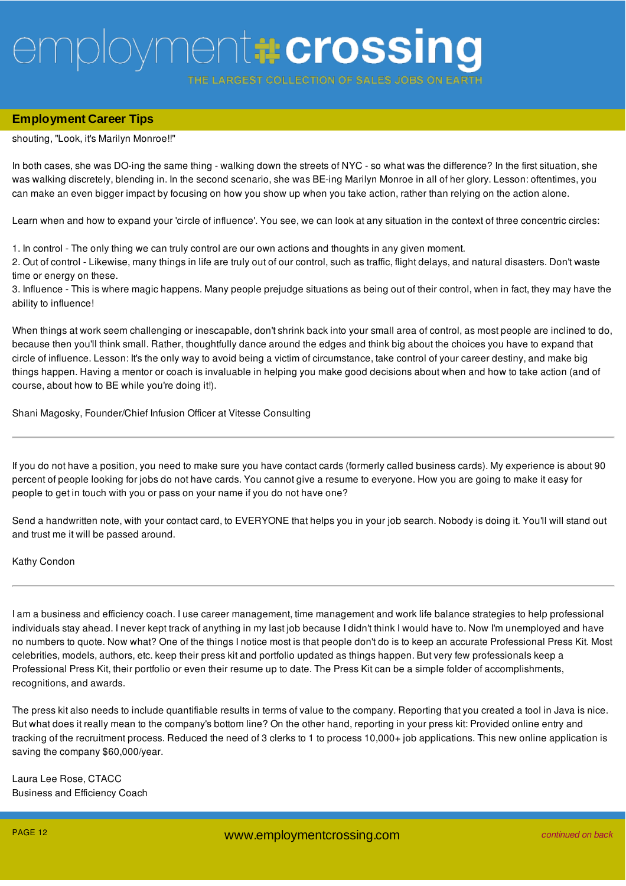THE LARGEST COLLECTION OF SALES JOBS

## ahead - head up, shoulders back, bright smile, and hips swaying in a way only she can. Suddenly, throngs of people are pointing and **Employment Career Tips**

shouting, "Look, it's Marilyn Monroe!!"

In both cases, she was DO-ing the same thing - walking down the streets of NYC - so what was the difference? In the first situation, she was walking discretely, blending in. In the second scenario, she was BE-ing Marilyn Monroe in all of her glory. Lesson: oftentimes, you can make an even bigger impact by focusing on how you show up when you take action, rather than relying on the action alone.

Learn when and how to expand your 'circle of influence'. You see, we can look at any situation in the context of three concentric circles:

1. In control - The only thing we can truly control are our own actions and thoughts in any given moment.

2. Out of control - Likewise, many things in life are truly out of our control, such as traffic, flight delays, and natural disasters. Don't waste time or energy on these.

3. Influence - This is where magic happens. Many people prejudge situations as being out of their control, when in fact, they may have the ability to influence!

When things at work seem challenging or inescapable, don't shrink back into your small area of control, as most people are inclined to do, because then you'll think small. Rather, thoughtfully dance around the edges and think big about the choices you have to expand that circle of influence. Lesson: It's the only way to avoid being a victim of circumstance, take control of your career destiny, and make big things happen. Having a mentor or coach is invaluable in helping you make good decisions about when and how to take action (and of course, about how to BE while you're doing it!).

Shani Magosky, Founder/Chief Infusion Officer at Vitesse Consulting

If you do not have a position, you need to make sure you have contact cards (formerly called business cards). My experience is about 90 percent of people looking for jobs do not have cards. You cannot give a resume to everyone. How you are going to make it easy for people to get in touch with you or pass on your name if you do not have one?

Send a handwritten note, with your contact card, to EVERYONE that helps you in your job search. Nobody is doing it. You'll will stand out and trust me it will be passed around.

### Kathy Condon

I am a business and efficiency coach. I use career management, time management and work life balance strategies to help professional individuals stay ahead. I never kept track of anything in my last job because I didn't think I would have to. Now I'm unemployed and have no numbers to quote. Now what? One of the things I notice most is that people don't do is to keep an accurate Professional Press Kit. Most celebrities, models, authors, etc. keep their press kit and portfolio updated as things happen. But very few professionals keep a Professional Press Kit, their portfolio or even their resume up to date. The Press Kit can be a simple folder of accomplishments, recognitions, and awards.

The press kit also needs to include quantifiable results in terms of value to the company. Reporting that you created a tool in Java is nice. But what does it really mean to the company's bottom line? On the other hand, reporting in your press kit: Provided online entry and tracking of the recruitment process. Reduced the need of 3 clerks to 1 to process 10,000+ job applications. This new online application is saving the company \$60,000/year.

Laura Lee Rose, CTACC Business and Efficiency Coach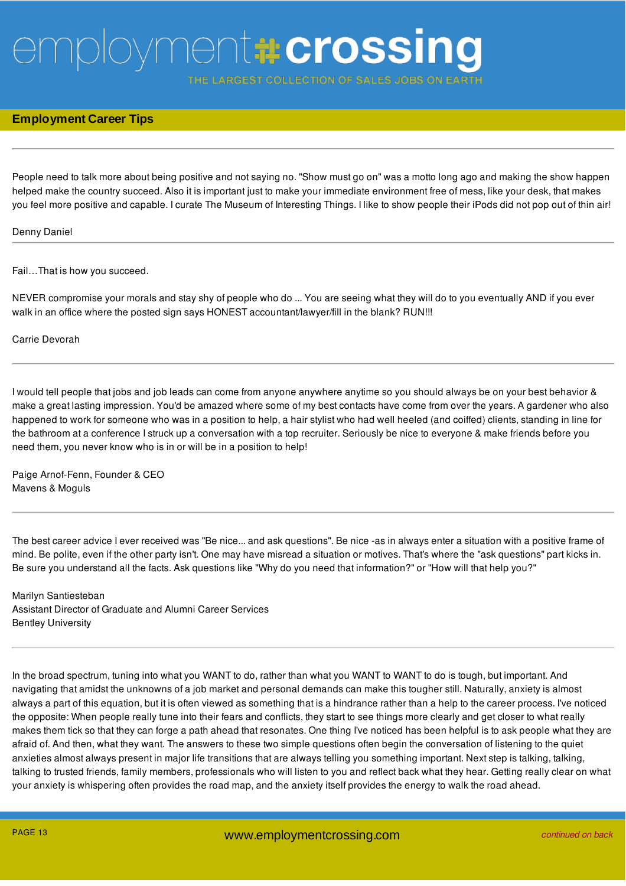THE LARGEST COLLECTION OF SALES JOBS ON E

### **Employment Career Tips**

People need to talk more about being positive and not saying no. "Show must go on" was a motto long ago and making the show happen helped make the country succeed. Also it is important just to make your immediate environment free of mess, like your desk, that makes you feel more positive and capable. I curate The Museum of Interesting Things. I like to show people their iPods did not pop out of thin air!

#### Denny Daniel

Fail…That is how you succeed.

NEVER compromise your morals and stay shy of people who do ... You are seeing what they will do to you eventually AND if you ever walk in an office where the posted sign says HONEST accountant/lawyer/fill in the blank? RUN!!!

Carrie Devorah

I would tell people that jobs and job leads can come from anyone anywhere anytime so you should always be on your best behavior & make a great lasting impression. You'd be amazed where some of my best contacts have come from over the years. A gardener who also happened to work for someone who was in a position to help, a hair stylist who had well heeled (and coiffed) clients, standing in line for the bathroom at a conference I struck up a conversation with a top recruiter. Seriously be nice to everyone & make friends before you need them, you never know who is in or will be in a position to help!

Paige Arnof-Fenn, Founder & CEO Mavens & Moguls

The best career advice I ever received was "Be nice... and ask questions". Be nice -as in always enter a situation with a positive frame of mind. Be polite, even if the other party isn't. One may have misread a situation or motives. That's where the "ask questions" part kicks in. Be sure you understand all the facts. Ask questions like "Why do you need that information?" or "How will that help you?"

Marilyn Santiesteban Assistant Director of Graduate and Alumni Career Services Bentley University

In the broad spectrum, tuning into what you WANT to do, rather than what you WANT to WANT to do is tough, but important. And navigating that amidst the unknowns of a job market and personal demands can make this tougher still. Naturally, anxiety is almost always a part of this equation, but it is often viewed as something that is a hindrance rather than a help to the career process. I've noticed the opposite: When people really tune into their fears and conflicts, they start to see things more clearly and get closer to what really makes them tick so that they can forge a path ahead that resonates. One thing I've noticed has been helpful is to ask people what they are afraid of. And then, what they want. The answers to these two simple questions often begin the conversation of listening to the quiet anxieties almost always present in major life transitions that are always telling you something important. Next step is talking, talking, talking to trusted friends, family members, professionals who will listen to you and reflect back what they hear. Getting really clear on what your anxiety is whispering often provides the road map, and the anxiety itself provides the energy to walk the road ahead.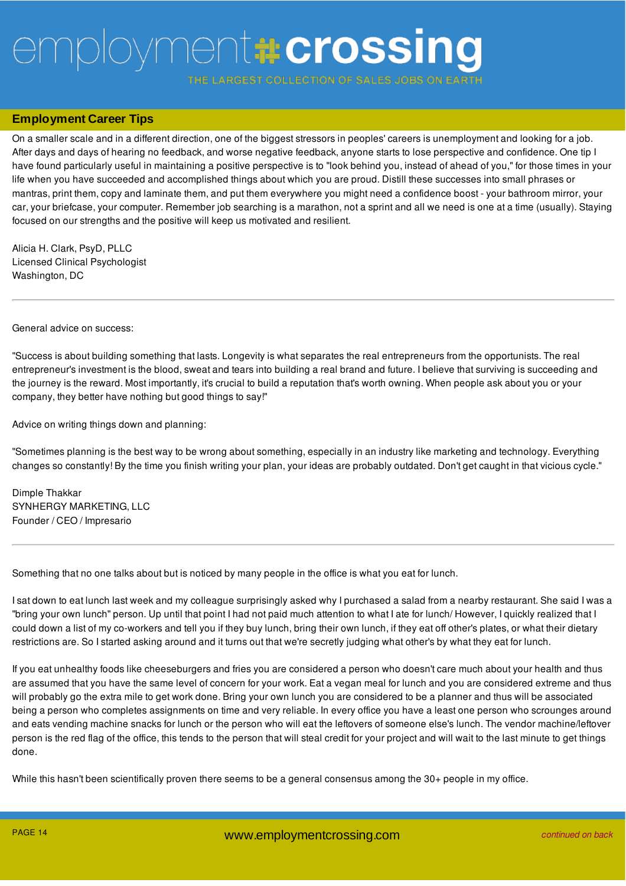THE LARGEST COLLECTION OF SALES JOBS ON E

### **Employment Career Tips**

On a smaller scale and in a different direction, one of the biggest stressors in peoples' careers is unemployment and looking for a job. After days and days of hearing no feedback, and worse negative feedback, anyone starts to lose perspective and confidence. One tip I have found particularly useful in maintaining a positive perspective is to "look behind you, instead of ahead of you," for those times in your life when you have succeeded and accomplished things about which you are proud. Distill these successes into small phrases or mantras, print them, copy and laminate them, and put them everywhere you might need a confidence boost - your bathroom mirror, your car, your briefcase, your computer. Remember job searching is a marathon, not a sprint and all we need is one at a time (usually). Staying focused on our strengths and the positive will keep us motivated and resilient.

Alicia H. Clark, PsyD, PLLC Licensed Clinical Psychologist Washington, DC

General advice on success:

"Success is about building something that lasts. Longevity is what separates the real entrepreneurs from the opportunists. The real entrepreneur's investment is the blood, sweat and tears into building a real brand and future. I believe that surviving is succeeding and the journey is the reward. Most importantly, it's crucial to build a reputation that's worth owning. When people ask about you or your company, they better have nothing but good things to say!"

Advice on writing things down and planning:

"Sometimes planning is the best way to be wrong about something, especially in an industry like marketing and technology. Everything changes so constantly! By the time you finish writing your plan, your ideas are probably outdated. Don't get caught in that vicious cycle."

Dimple Thakkar SYNHERGY MARKETING, LLC Founder / CEO / Impresario

Something that no one talks about but is noticed by many people in the office is what you eat for lunch.

I sat down to eat lunch last week and my colleague surprisingly asked why I purchased a salad from a nearby restaurant. She said I was a "bring your own lunch" person. Up until that point I had not paid much attention to what I ate for lunch/ However, I quickly realized that I could down a list of my co-workers and tell you if they buy lunch, bring their own lunch, if they eat off other's plates, or what their dietary restrictions are. So I started asking around and it turns out that we're secretly judging what other's by what they eat for lunch.

If you eat unhealthy foods like cheeseburgers and fries you are considered a person who doesn't care much about your health and thus are assumed that you have the same level of concern for your work. Eat a vegan meal for lunch and you are considered extreme and thus will probably go the extra mile to get work done. Bring your own lunch you are considered to be a planner and thus will be associated being a person who completes assignments on time and very reliable. In every office you have a least one person who scrounges around and eats vending machine snacks for lunch or the person who will eat the leftovers of someone else's lunch. The vendor machine/leftover person is the red flag of the office, this tends to the person that will steal credit for your project and will wait to the last minute to get things done.

While this hasn't been scientifically proven there seems to be a general consensus among the 30+ people in my office.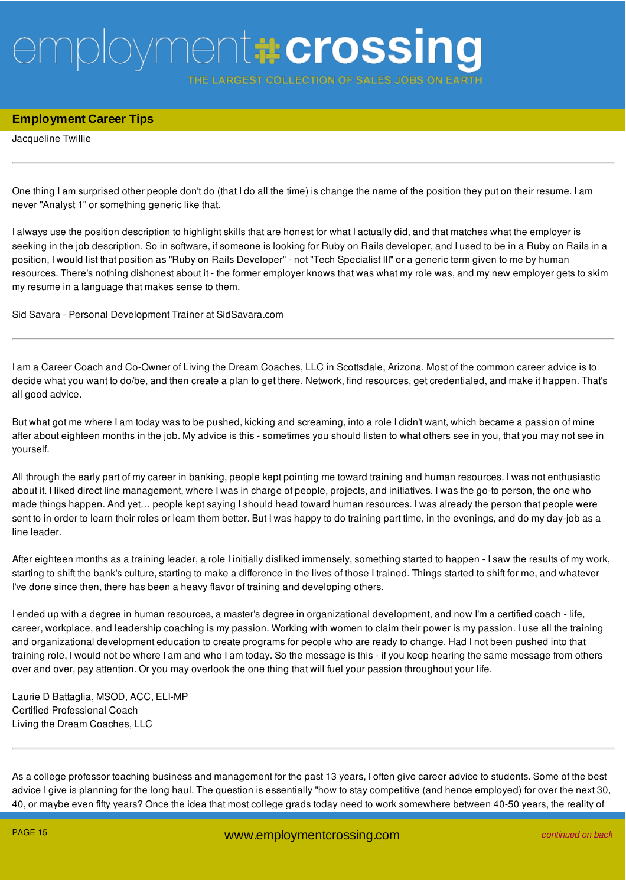THE LARGEST COLLECTION OF SALES JOBS ON E

### **Employment Career Tips**

Jacqueline Twillie

One thing I am surprised other people don't do (that I do all the time) is change the name of the position they put on their resume. I am never "Analyst 1" or something generic like that.

I always use the position description to highlight skills that are honest for what I actually did, and that matches what the employer is seeking in the job description. So in software, if someone is looking for Ruby on Rails developer, and I used to be in a Ruby on Rails in a position, I would list that position as "Ruby on Rails Developer" - not "Tech Specialist III" or a generic term given to me by human resources. There's nothing dishonest about it - the former employer knows that was what my role was, and my new employer gets to skim my resume in a language that makes sense to them.

Sid Savara - Personal Development Trainer at SidSavara.com

I am a Career Coach and Co-Owner of Living the Dream Coaches, LLC in Scottsdale, Arizona. Most of the common career advice is to decide what you want to do/be, and then create a plan to get there. Network, find resources, get credentialed, and make it happen. That's all good advice.

But what got me where I am today was to be pushed, kicking and screaming, into a role I didn't want, which became a passion of mine after about eighteen months in the job. My advice is this - sometimes you should listen to what others see in you, that you may not see in yourself.

All through the early part of my career in banking, people kept pointing me toward training and human resources. I was not enthusiastic about it. I liked direct line management, where I was in charge of people, projects, and initiatives. I was the go-to person, the one who made things happen. And yet… people kept saying I should head toward human resources. I was already the person that people were sent to in order to learn their roles or learn them better. But I was happy to do training part time, in the evenings, and do my day-job as a line leader.

After eighteen months as a training leader, a role I initially disliked immensely, something started to happen - I saw the results of my work, starting to shift the bank's culture, starting to make a difference in the lives of those I trained. Things started to shift for me, and whatever I've done since then, there has been a heavy flavor of training and developing others.

I ended up with a degree in human resources, a master's degree in organizational development, and now I'm a certified coach - life, career, workplace, and leadership coaching is my passion. Working with women to claim their power is my passion. I use all the training and organizational development education to create programs for people who are ready to change. Had I not been pushed into that training role, I would not be where I am and who I am today. So the message is this - if you keep hearing the same message from others over and over, pay attention. Or you may overlook the one thing that will fuel your passion throughout your life.

Laurie D Battaglia, MSOD, ACC, ELI-MP Certified Professional Coach Living the Dream Coaches, LLC

As a college professor teaching business and management for the past 13 years, I often give career advice to students. Some of the best advice I give is planning for the long haul. The question is essentially "how to stay competitive (and hence employed) for over the next 30, 40, or maybe even fifty years? Once the idea that most college grads today need to work somewhere between 40-50 years, the reality of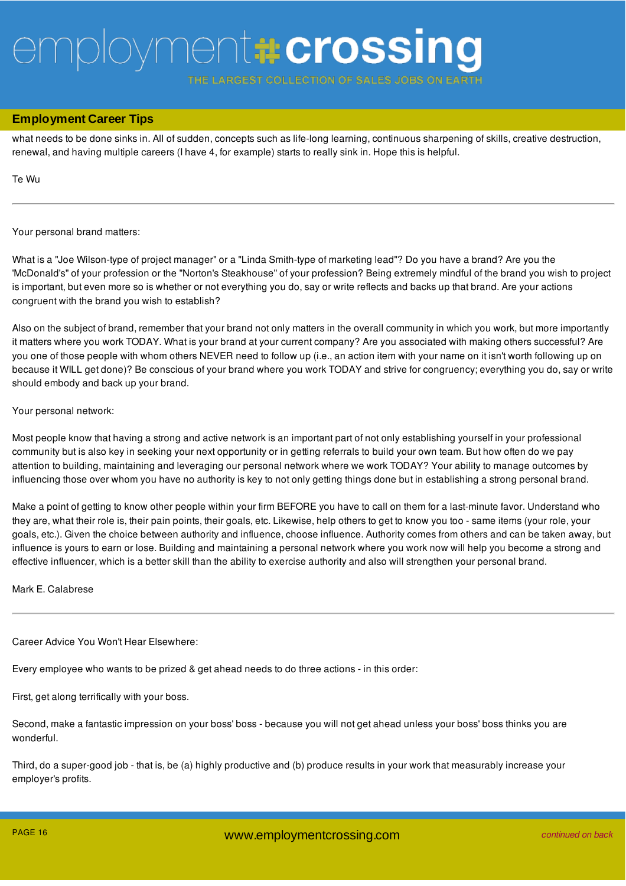ARGEST COLLECTION OF SALES JOBS

### 40, or maybe even fifty years? Once the idea that most college grads today need to work somewhere between 40-50 years, the reality of **Employment Career Tips**

what needs to be done sinks in. All of sudden, concepts such as life-long learning, continuous sharpening of skills, creative destruction, renewal, and having multiple careers (I have 4, for example) starts to really sink in. Hope this is helpful.

Te Wu

#### Your personal brand matters:

What is a "Joe Wilson-type of project manager" or a "Linda Smith-type of marketing lead"? Do you have a brand? Are you the 'McDonald's" of your profession or the "Norton's Steakhouse" of your profession? Being extremely mindful of the brand you wish to project is important, but even more so is whether or not everything you do, say or write reflects and backs up that brand. Are your actions congruent with the brand you wish to establish?

Also on the subject of brand, remember that your brand not only matters in the overall community in which you work, but more importantly it matters where you work TODAY. What is your brand at your current company? Are you associated with making others successful? Are you one of those people with whom others NEVER need to follow up (i.e., an action item with your name on it isn't worth following up on because it WILL get done)? Be conscious of your brand where you work TODAY and strive for congruency; everything you do, say or write should embody and back up your brand.

#### Your personal network:

Most people know that having a strong and active network is an important part of not only establishing yourself in your professional community but is also key in seeking your next opportunity or in getting referrals to build your own team. But how often do we pay attention to building, maintaining and leveraging our personal network where we work TODAY? Your ability to manage outcomes by influencing those over whom you have no authority is key to not only getting things done but in establishing a strong personal brand.

Make a point of getting to know other people within your firm BEFORE you have to call on them for a last-minute favor. Understand who they are, what their role is, their pain points, their goals, etc. Likewise, help others to get to know you too - same items (your role, your goals, etc.). Given the choice between authority and influence, choose influence. Authority comes from others and can be taken away, but influence is yours to earn or lose. Building and maintaining a personal network where you work now will help you become a strong and effective influencer, which is a better skill than the ability to exercise authority and also will strengthen your personal brand.

Mark E. Calabrese

Career Advice You Won't Hear Elsewhere:

Every employee who wants to be prized & get ahead needs to do three actions - in this order:

First, get along terrifically with your boss.

Second, make a fantastic impression on your boss' boss - because you will not get ahead unless your boss' boss thinks you are wonderful.

Third, do a super-good job - that is, be (a) highly productive and (b) produce results in your work that measurably increase your employer's profits.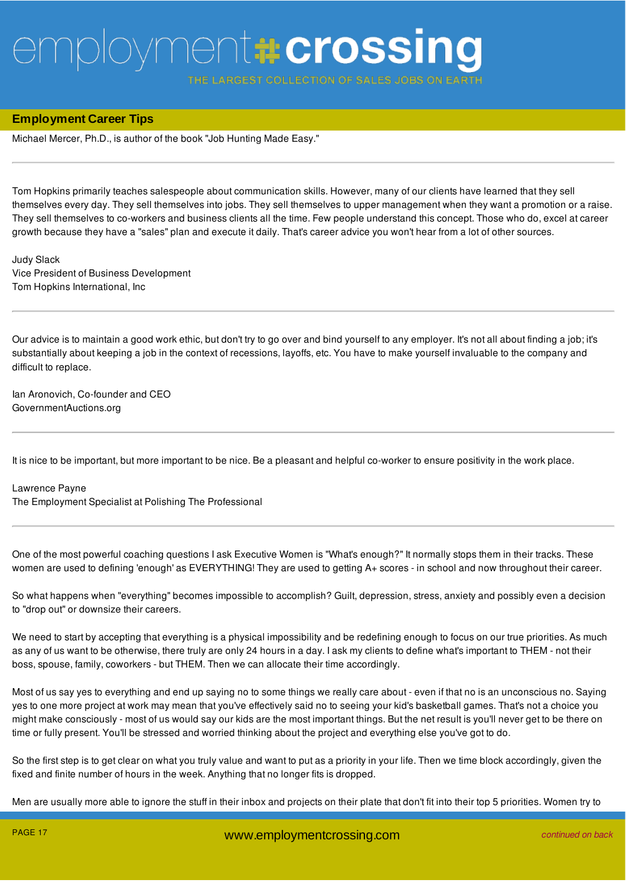**ARGEST COLLECTION OF SALES** 

### **Employment Career Tips**

Michael Mercer, Ph.D., is author of the book "Job Hunting Made Easy."

Tom Hopkins primarily teaches salespeople about communication skills. However, many of our clients have learned that they sell themselves every day. They sell themselves into jobs. They sell themselves to upper management when they want a promotion or a raise. They sell themselves to co-workers and business clients all the time. Few people understand this concept. Those who do, excel at career growth because they have a "sales" plan and execute it daily. That's career advice you won't hear from a lot of other sources.

Judy Slack Vice President of Business Development Tom Hopkins International, Inc

Our advice is to maintain a good work ethic, but don't try to go over and bind yourself to any employer. It's not all about finding a job; it's substantially about keeping a job in the context of recessions, layoffs, etc. You have to make yourself invaluable to the company and difficult to replace.

Ian Aronovich, Co-founder and CEO GovernmentAuctions.org

It is nice to be important, but more important to be nice. Be a pleasant and helpful co-worker to ensure positivity in the work place.

#### Lawrence Payne

The Employment Specialist at Polishing The Professional

One of the most powerful coaching questions I ask Executive Women is "What's enough?" It normally stops them in their tracks. These women are used to defining 'enough' as EVERYTHING! They are used to getting A+ scores - in school and now throughout their career.

So what happens when "everything" becomes impossible to accomplish? Guilt, depression, stress, anxiety and possibly even a decision to "drop out" or downsize their careers.

We need to start by accepting that everything is a physical impossibility and be redefining enough to focus on our true priorities. As much as any of us want to be otherwise, there truly are only 24 hours in a day. I ask my clients to define what's important to THEM - not their boss, spouse, family, coworkers - but THEM. Then we can allocate their time accordingly.

Most of us say yes to everything and end up saying no to some things we really care about - even if that no is an unconscious no. Saying yes to one more project at work may mean that you've effectively said no to seeing your kid's basketball games. That's not a choice you might make consciously - most of us would say our kids are the most important things. But the net result is you'll never get to be there on time or fully present. You'll be stressed and worried thinking about the project and everything else you've got to do.

So the first step is to get clear on what you truly value and want to put as a priority in your life. Then we time block accordingly, given the fixed and finite number of hours in the week. Anything that no longer fits is dropped.

Men are usually more able to ignore the stuff in their inbox and projects on their plate that don't fit into their top 5 priorities. Women try to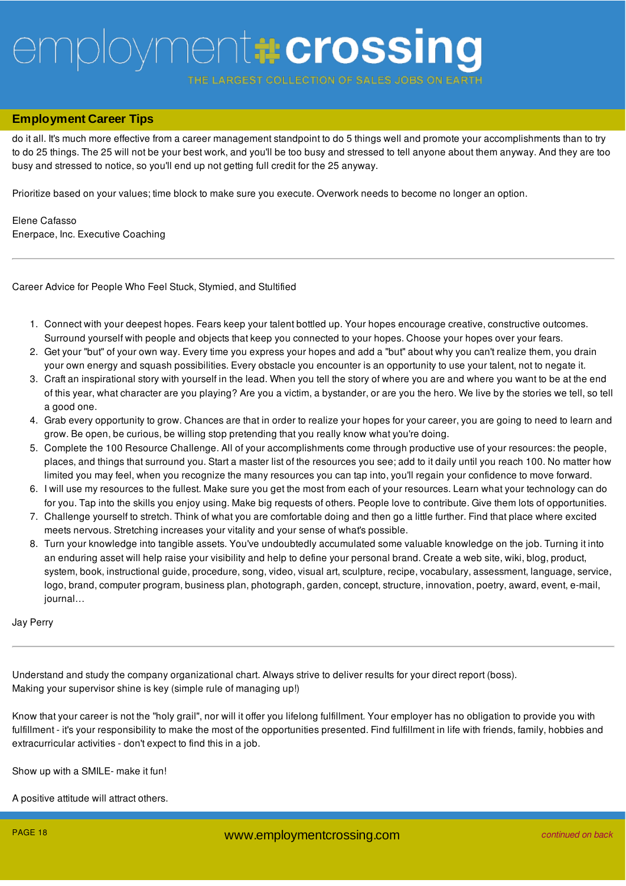ARGEST COLLECTION OF SALES JOBS

## Men are usually more able to ignore the stuff in their inbox and projects on their plate that don't fit into their top 5 priorities. Women try to **Employment Career Tips**

do it all. It's much more effective from a career management standpoint to do 5 things well and promote your accomplishments than to try to do 25 things. The 25 will not be your best work, and you'll be too busy and stressed to tell anyone about them anyway. And they are too busy and stressed to notice, so you'll end up not getting full credit for the 25 anyway.

Prioritize based on your values; time block to make sure you execute. Overwork needs to become no longer an option.

Elene Cafasso Enerpace, Inc. Executive Coaching

Career Advice for People Who Feel Stuck, Stymied, and Stultified

- 1. Connect with your deepest hopes. Fears keep your talent bottled up. Your hopes encourage creative, constructive outcomes. Surround yourself with people and objects that keep you connected to your hopes. Choose your hopes over your fears.
- 2. Get your "but" of your own way. Every time you express your hopes and add a "but" about why you can't realize them, you drain your own energy and squash possibilities. Every obstacle you encounter is an opportunity to use your talent, not to negate it.
- 3. Craft an inspirational story with yourself in the lead. When you tell the story of where you are and where you want to be at the end of this year, what character are you playing? Are you a victim, a bystander, or are you the hero. We live by the stories we tell, so tell a good one.
- 4. Grab every opportunity to grow. Chances are that in order to realize your hopes for your career, you are going to need to learn and grow. Be open, be curious, be willing stop pretending that you really know what you're doing.
- 5. Complete the 100 Resource Challenge. All of your accomplishments come through productive use of your resources: the people, places, and things that surround you. Start a master list of the resources you see; add to it daily until you reach 100. No matter how limited you may feel, when you recognize the many resources you can tap into, you'll regain your confidence to move forward.
- 6. I will use my resources to the fullest. Make sure you get the most from each of your resources. Learn what your technology can do for you. Tap into the skills you enjoy using. Make big requests of others. People love to contribute. Give them lots of opportunities.
- 7. Challenge yourself to stretch. Think of what you are comfortable doing and then go a little further. Find that place where excited meets nervous. Stretching increases your vitality and your sense of what's possible.
- 8. Turn your knowledge into tangible assets. You've undoubtedly accumulated some valuable knowledge on the job. Turning it into an enduring asset will help raise your visibility and help to define your personal brand. Create a web site, wiki, blog, product, system, book, instructional guide, procedure, song, video, visual art, sculpture, recipe, vocabulary, assessment, language, service, logo, brand, computer program, business plan, photograph, garden, concept, structure, innovation, poetry, award, event, e-mail, journal…

Jay Perry

Understand and study the company organizational chart. Always strive to deliver results for your direct report (boss). Making your supervisor shine is key (simple rule of managing up!)

Know that your career is not the "holy grail", nor will it offer you lifelong fulfillment. Your employer has no obligation to provide you with fulfillment - it's your responsibility to make the most of the opportunities presented. Find fulfillment in life with friends, family, hobbies and extracurricular activities - don't expect to find this in a job.

Show up with a SMILE- make it fun!

A positive attitude will attract others.